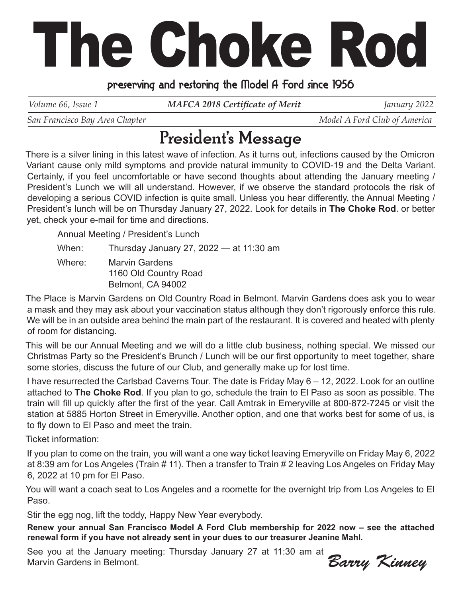# The Choke Rod

#### preserving and restoring the Model A Ford since 1956

*Volume 66, Issue 1 MAFCA 2018 Certificate of Merit January 2022* 

*San Francisco Bay Area Chapter*  $\blacksquare$   $\blacksquare$   $\blacksquare$   $\blacksquare$   $\blacksquare$   $\blacksquare$   $\blacksquare$   $\blacksquare$   $\blacksquare$   $\blacksquare$   $\blacksquare$   $\blacksquare$   $\blacksquare$   $\blacksquare$   $\blacksquare$   $\blacksquare$   $\blacksquare$   $\blacksquare$   $\blacksquare$   $\blacksquare$   $\blacksquare$   $\blacksquare$   $\blacksquare$   $\blacksquare$   $\blacksquare$   $\blacksquare$   $\blacksquare$ 

## President's Message

There is a silver lining in this latest wave of infection. As it turns out, infections caused by the Omicron Variant cause only mild symptoms and provide natural immunity to COVID-19 and the Delta Variant. Certainly, if you feel uncomfortable or have second thoughts about attending the January meeting / President's Lunch we will all understand. However, if we observe the standard protocols the risk of developing a serious COVID infection is quite small. Unless you hear differently, the Annual Meeting / President's lunch will be on Thursday January 27, 2022. Look for details in **The Choke Rod**. or better yet, check your e-mail for time and directions.

Annual Meeting / President's Lunch

When: Thursday January 27, 2022 — at 11:30 am

Where: Marvin Gardens 1160 Old Country Road Belmont, CA 94002

The Place is Marvin Gardens on Old Country Road in Belmont. Marvin Gardens does ask you to wear a mask and they may ask about your vaccination status although they don't rigorously enforce this rule. We will be in an outside area behind the main part of the restaurant. It is covered and heated with plenty of room for distancing.

This will be our Annual Meeting and we will do a little club business, nothing special. We missed our Christmas Party so the President's Brunch / Lunch will be our first opportunity to meet together, share some stories, discuss the future of our Club, and generally make up for lost time.

I have resurrected the Carlsbad Caverns Tour. The date is Friday May 6 – 12, 2022. Look for an outline attached to **The Choke Rod**. If you plan to go, schedule the train to El Paso as soon as possible. The train will fill up quickly after the first of the year. Call Amtrak in Emeryville at 800-872-7245 or visit the station at 5885 Horton Street in Emeryville. Another option, and one that works best for some of us, is to fly down to El Paso and meet the train.

Ticket information:

If you plan to come on the train, you will want a one way ticket leaving Emeryville on Friday May 6, 2022 at 8:39 am for Los Angeles (Train # 11). Then a transfer to Train # 2 leaving Los Angeles on Friday May 6, 2022 at 10 pm for El Paso.

You will want a coach seat to Los Angeles and a roomette for the overnight trip from Los Angeles to El Paso.

Stir the egg nog, lift the toddy, Happy New Year everybody.

**Renew your annual San Francisco Model A Ford Club membership for 2022 now – see the attached renewal form if you have not already sent in your dues to our treasurer Jeanine Mahl.**

See you at the January meeting: Thursday January 27 at 11:30 am at Marvin Gardens in Belmont.

Barry Kinney